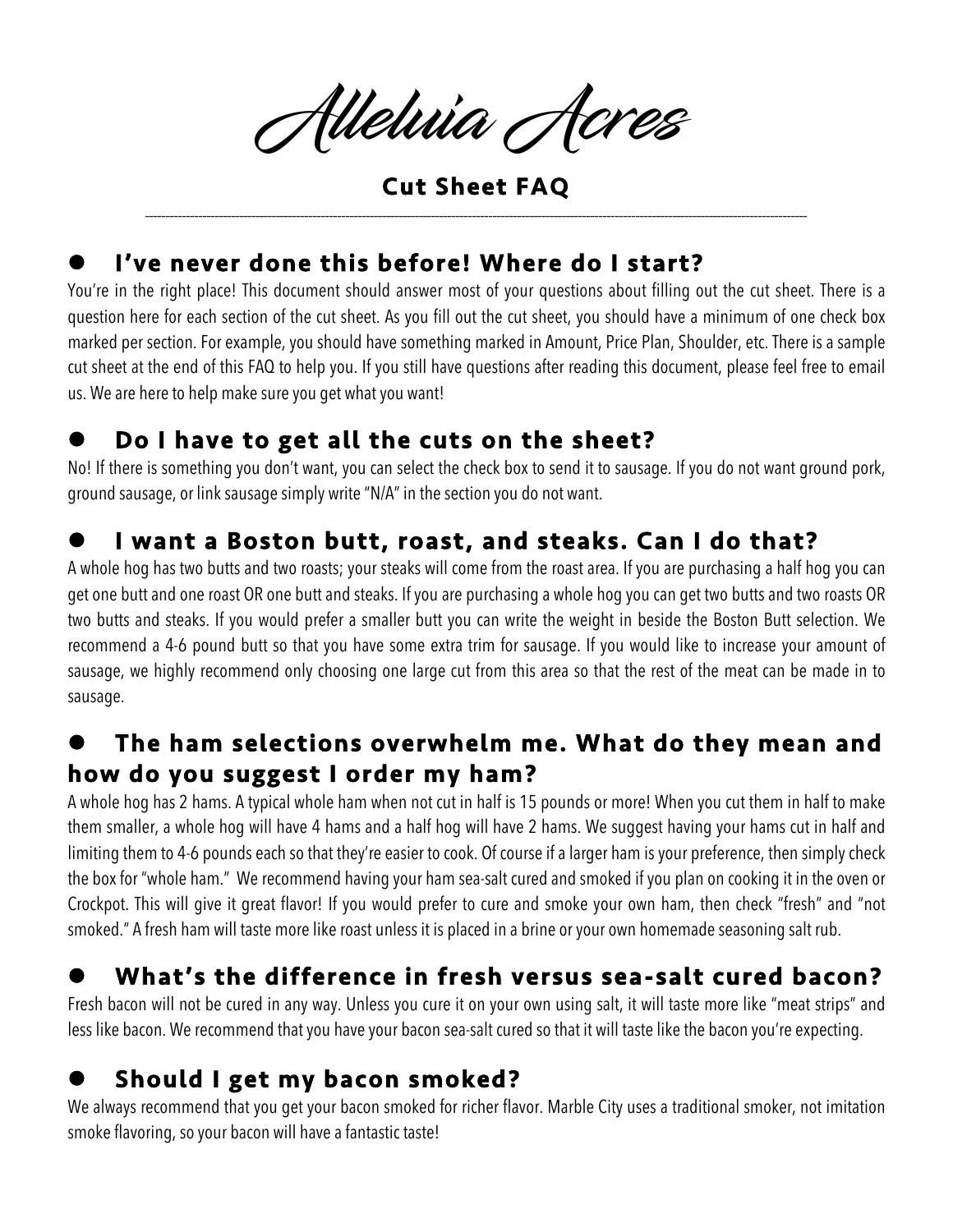Alleluia Acres

Cut Sheet FAQ \_\_\_\_\_\_\_\_\_\_\_\_\_\_\_\_\_\_\_\_\_\_\_\_\_\_\_\_\_\_\_\_\_\_\_\_\_\_\_\_\_\_\_\_\_\_\_\_\_\_\_\_\_\_\_\_\_\_\_\_\_\_\_\_\_\_\_\_\_\_\_\_\_\_\_\_\_\_\_\_\_\_\_\_\_\_\_\_\_\_\_\_\_\_\_\_\_\_\_\_\_\_\_\_\_\_\_\_\_\_\_\_\_\_\_\_\_\_\_\_\_\_\_\_\_\_\_\_\_\_\_\_\_\_\_\_\_\_\_\_\_\_\_\_\_\_\_\_\_\_\_\_\_\_\_\_\_\_\_\_\_\_

## I've never done this before! Where do I start?

You're in the right place! This document should answer most of your questions about filling out the cut sheet. There is a question here for each section of the cut sheet. As you fill out the cut sheet, you should have a minimum of one check box marked per section. For example, you should have something marked in Amount, Price Plan, Shoulder, etc. There is a sample cut sheet at the end of this FAQ to help you. If you still have questions after reading this document, please feel free to email us. We are here to help make sure you get what you want!

#### Do I have to get all the cuts on the sheet?

No! If there is something you don't want, you can select the check box to send it to sausage. If you do not want ground pork, ground sausage, or link sausage simply write "N/A" in the section you do not want.

#### I want a Boston butt, roast, and steaks. Can I do that?

A whole hog has two butts and two roasts; your steaks will come from the roast area. If you are purchasing a half hog you can get one butt and one roast OR one butt and steaks. If you are purchasing a whole hog you can get two butts and two roasts OR two butts and steaks. If you would prefer a smaller butt you can write the weight in beside the Boston Butt selection. We recommend a 4-6 pound butt so that you have some extra trim for sausage. If you would like to increase your amount of sausage, we highly recommend only choosing one large cut from this area so that the rest of the meat can be made in to sausage.

#### The ham selections overwhelm me. What do they mean and how do you suggest I order my ham?

A whole hog has 2 hams. A typical whole ham when not cut in half is 15 pounds or more! When you cut them in half to make them smaller, a whole hog will have 4 hams and a half hog will have 2 hams. We suggest having your hams cut in half and limiting them to 4-6 pounds each so that they're easier to cook. Of course if a larger ham is your preference, then simply check the box for "whole ham." We recommend having your ham sea-salt cured and smoked if you plan on cooking it in the oven or Crockpot. This will give it great flavor! If you would prefer to cure and smoke your own ham, then check "fresh" and "not smoked." A fresh ham will taste more like roast unless it is placed in a brine or your own homemade seasoning salt rub.

### What's the difference in fresh versus sea-salt cured bacon?

Fresh bacon will not be cured in any way. Unless you cure it on your own using salt, it will taste more like "meat strips" and less like bacon. We recommend that you have your bacon sea-salt cured so that it will taste like the bacon you're expecting.

### Should I get my bacon smoked?

We always recommend that you get your bacon smoked for richer flavor. Marble City uses a traditional smoker, not imitation smoke flavoring, so your bacon will have a fantastic taste!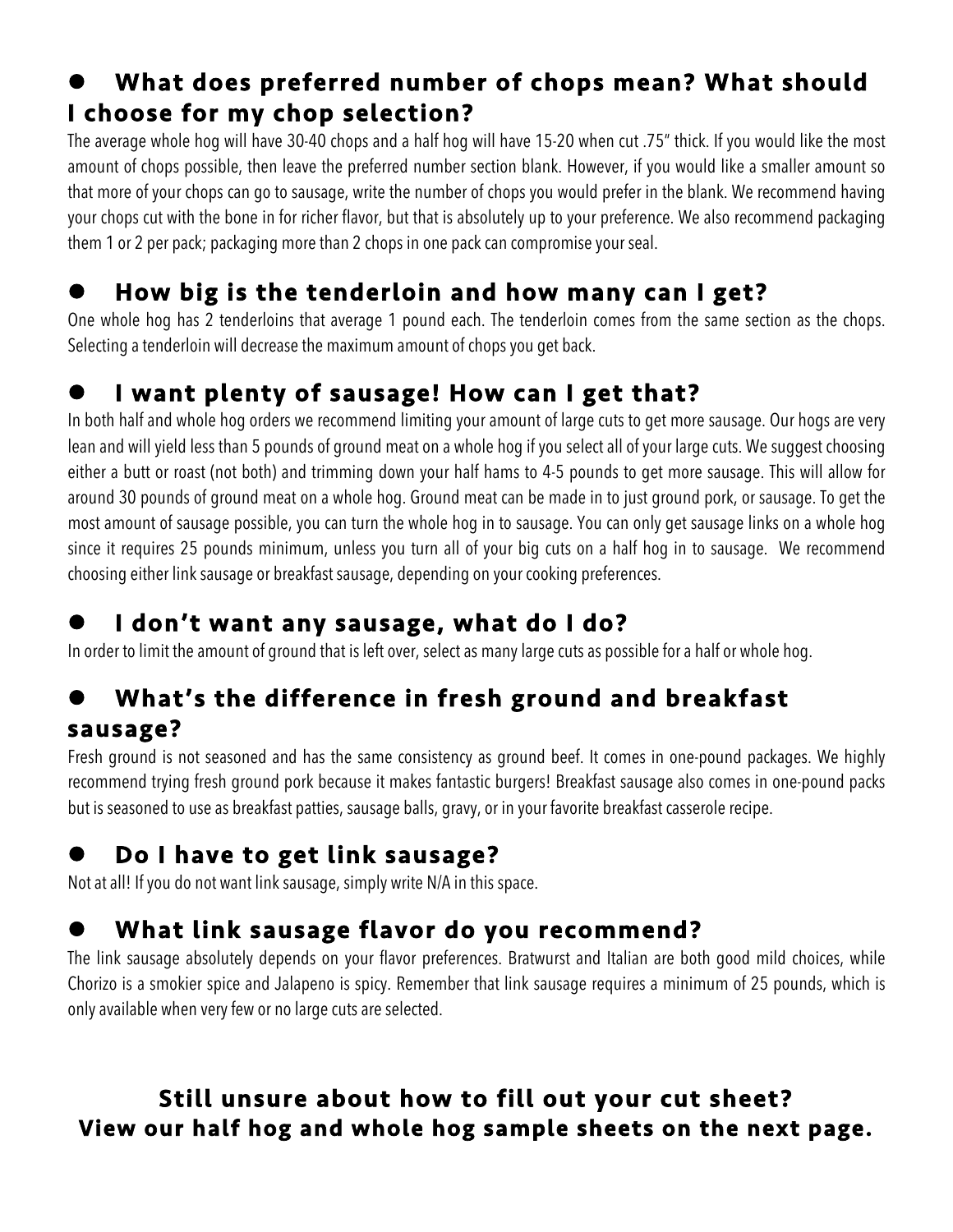## What does preferred number of chops mean? What should I choose for my chop selection?

The average whole hog will have 30-40 chops and a half hog will have 15-20 when cut .75" thick. If you would like the most amount of chops possible, then leave the preferred number section blank. However, if you would like a smaller amount so that more of your chops can go to sausage, write the number of chops you would prefer in the blank. We recommend having your chops cut with the bone in for richer flavor, but that is absolutely up to your preference. We also recommend packaging them 1 or 2 per pack; packaging more than 2 chops in one pack can compromise your seal.

## How big is the tenderloin and how many can I get?

One whole hog has 2 tenderloins that average 1 pound each. The tenderloin comes from the same section as the chops. Selecting a tenderloin will decrease the maximum amount of chops you get back.

#### I want plenty of sausage! How can I get that?

In both half and whole hog orders we recommend limiting your amount of large cuts to get more sausage. Our hogs are very lean and will yield less than 5 pounds of ground meat on a whole hog if you select all of your large cuts. We suggest choosing either a butt or roast (not both) and trimming down your half hams to 4-5 pounds to get more sausage. This will allow for around 30 pounds of ground meat on a whole hog. Ground meat can be made in to just ground pork, or sausage. To get the most amount of sausage possible, you can turn the whole hog in to sausage. You can only get sausage links on a whole hog since it requires 25 pounds minimum, unless you turn all of your big cuts on a half hog in to sausage. We recommend choosing either link sausage or breakfast sausage, depending on your cooking preferences.

#### I don't want any sausage, what do I do?

In order to limit the amount of ground that is left over, select as many large cuts as possible for a half or whole hog.

## What's the difference in fresh ground and breakfast sausage?

Fresh ground is not seasoned and has the same consistency as ground beef. It comes in one-pound packages. We highly recommend trying fresh ground pork because it makes fantastic burgers! Breakfast sausage also comes in one-pound packs but is seasoned to use as breakfast patties, sausage balls, gravy, or in your favorite breakfast casserole recipe.

# Do I have to get link sausage?

Not at all! If you do not want link sausage, simply write N/A in this space.

# What link sausage flavor do you recommend?

The link sausage absolutely depends on your flavor preferences. Bratwurst and Italian are both good mild choices, while Chorizo is a smokier spice and Jalapeno is spicy. Remember that link sausage requires a minimum of 25 pounds, which is only available when very few or no large cuts are selected.

#### Still unsure about how to fill out your cut sheet? View our half hog and whole hog sample sheets on the next page.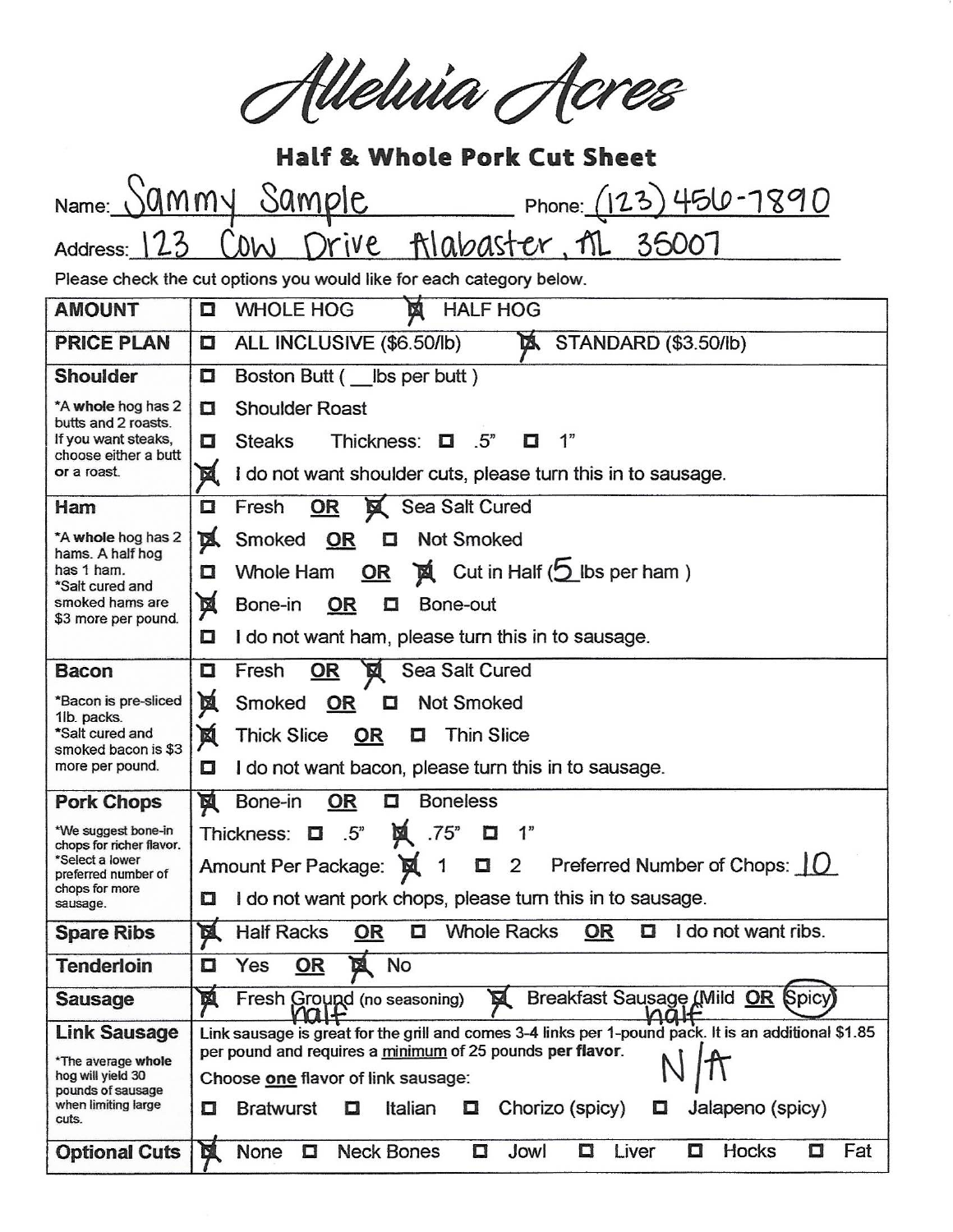Alleluia Acres

| <b>Half &amp; Whole Pork Cut Sheet</b>                                                                                  |                                                                                                                              |  |
|-------------------------------------------------------------------------------------------------------------------------|------------------------------------------------------------------------------------------------------------------------------|--|
| jammy<br>Name:                                                                                                          | Sample<br>Phone: $(123)$ 450-7890                                                                                            |  |
| Address: 123                                                                                                            | filabaster, M 35007<br>Drive<br>U(1)                                                                                         |  |
|                                                                                                                         |                                                                                                                              |  |
| Please check the cut options you would like for each category below.<br><b>HALF HOG</b><br>図                            |                                                                                                                              |  |
| <b>AMOUNT</b>                                                                                                           | <b>WHOLE HOG</b><br>$\Box$                                                                                                   |  |
| <b>PRICE PLAN</b>                                                                                                       | ALL INCLUSIVE (\$6.50/lb)<br><b>EX STANDARD (\$3.50/lb)</b><br>O                                                             |  |
| <b>Shoulder</b>                                                                                                         | Boston Butt ( __ lbs per butt)<br>Ο                                                                                          |  |
| *A whole hog has 2<br>butts and 2 roasts.<br>If you want steaks,<br>choose either a butt<br>or a roast.                 | <b>Shoulder Roast</b><br>o                                                                                                   |  |
|                                                                                                                         | 1"<br><b>Steaks</b><br>Thickness: $\Box$<br>.5 <sup>n</sup><br>О<br>O                                                        |  |
|                                                                                                                         | I do not want shoulder cuts, please turn this in to sausage.<br>M                                                            |  |
| Ham                                                                                                                     | Sea Salt Cured<br>Fresh<br>$\Box$<br>OR                                                                                      |  |
| *A whole hog has 2<br>hams. A half hog<br>has 1 ham.<br>*Salt cured and                                                 | <b>M</b><br>Smoked<br>OR<br><b>Not Smoked</b><br>O                                                                           |  |
|                                                                                                                         | $\mathbf{X}$ Cut in Half ( $\mathbf{S}$ lbs per ham)<br>Whole Ham<br>OR<br>α                                                 |  |
| smoked hams are                                                                                                         | 闃<br>Bone-in<br><u>OR</u><br>Bone-out<br>Ω                                                                                   |  |
| \$3 more per pound.                                                                                                     | I do not want ham, please turn this in to sausage.<br>О                                                                      |  |
| <b>Bacon</b>                                                                                                            | Sea Salt Cured<br>Fresh<br><u>OR</u><br>α<br>囟                                                                               |  |
| *Bacon is pre-sliced<br>1lb. packs.<br>*Salt cured and<br>smoked bacon is \$3<br>more per pound.                        | 闃<br><b>Not Smoked</b><br>Smoked<br>OR<br>o                                                                                  |  |
|                                                                                                                         | 図<br><b>Thick Slice</b><br>OR<br><b>Thin Slice</b><br>ο                                                                      |  |
|                                                                                                                         | I do not want bacon, please turn this in to sausage.<br>Ω                                                                    |  |
| <b>Pork Chops</b>                                                                                                       | 図<br><b>Boneless</b><br>Bone-in<br><b>OR</b><br>$\Box$                                                                       |  |
| *We suggest bone-in<br>chops for richer flavor.<br>*Select a lower<br>preferred number of<br>chops for more<br>sausage. | Thickness: $\Box$ .5"<br>Ă.<br>.75"<br>$\Box$                                                                                |  |
|                                                                                                                         | Preferred Number of Chops: $\overline{10}$<br>Amount Per Package:<br>$\overline{2}$<br>0<br>1                                |  |
|                                                                                                                         | I do not want pork chops, please turn this in to sausage.<br>$\Box$                                                          |  |
| <b>Spare Ribs</b>                                                                                                       | <b>Whole Racks</b><br>I do not want ribs.<br><b>DÍ</b><br><b>Half Racks</b><br><b>OR</b><br><b>OR</b><br>О<br>α              |  |
| <b>Tenderloin</b>                                                                                                       | No<br>図<br>Ω<br>Yes<br>OR                                                                                                    |  |
| <b>Sausage</b>                                                                                                          | Breakfast Sausage (Mild OR Spicy)<br>國<br>Fresh Ground (no seasoning)<br>N<br>$\sqrt{a}$                                     |  |
| <b>Link Sausage</b>                                                                                                     | Link sausage is great for the grill and comes 3-4 links per 1-pound pack. It is an additional \$1.85                         |  |
| *The average whole<br>hog will yield 30<br>pounds of sausage<br>when limiting large<br>cuts.                            | per pound and requires a minimum of 25 pounds per flavor.                                                                    |  |
|                                                                                                                         | Choose one flavor of link sausage:<br>Jalapeno (spicy)<br>Italian<br>Chorizo (spicy)<br><b>Bratwurst</b><br>Ο<br>О<br>O<br>U |  |
|                                                                                                                         |                                                                                                                              |  |
| <b>Optional Cuts</b>                                                                                                    | <b>Neck Bones</b><br>Hocks<br>國<br>None<br>Liver<br>Fat<br>Ω<br>Ω<br>Jowl<br>◘<br>О<br>□                                     |  |